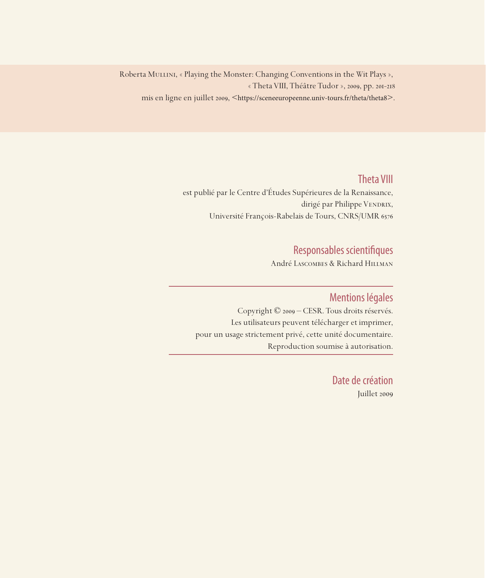Roberta MULLINI, « Playing the Monster: Changing Conventions in the Wit Plays », « Theta VIII, Théâtre Tudor », 2009, pp. 201-218 mis en ligne en juillet 2009, <https://sceneeuropeenne.univ-tours.fr/theta/theta8>.

# Theta VIII

est publié par le Centre d'Études Supérieures de la Renaissance, dirigé par Philippe VENDRIX, Université François-Rabelais de Tours, CNRS/UMR 6576

# Responsables scientifiques

André Lascombes & Richard Hillman

## Mentions légales

Copyright © 2009 – CESR. Tous droits réservés. Les utilisateurs peuvent télécharger et imprimer, pour un usage strictement privé, cette unité documentaire. Reproduction soumise à autorisation.

> Date de création Juillet 2009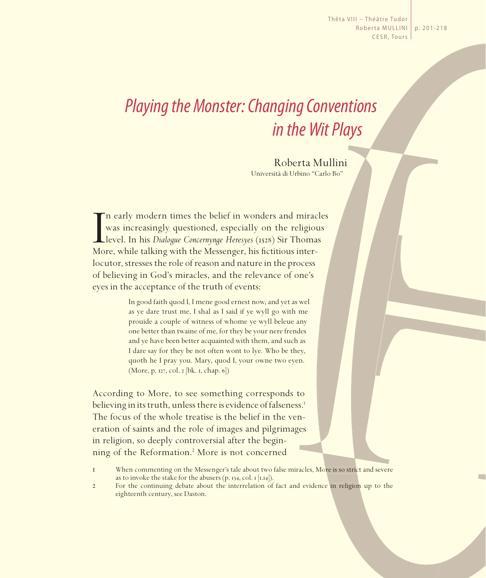Thêta VIII – Théâtre Tudor Roberta MULLINI | p. 201-218 CESR, Tours

# *Playing the Monster: Changing Conventions in the Wit Plays*

Roberta Mullini Università di Urbino "Carlo Bo"

I<br>Mo n early modern times the belief in wonders and miracles was increasingly questioned, especially on the religious level. In his *Dialogue Concernynge Heresyes* (1528) Sir Thomas More, while talking with the Messenger, his fictitious interlocutor, stresses the role of reason and nature in the process of believing in God's miracles, and the relevance of one's eyes in the acceptance of the truth of events:

> In good faith quod I, I mene good ernest now, and yet as wel as ye dare trust me, I shal as I said if ye wyll go with me prouide a couple of witness of whome ye wyll beleue any one better than twaine of me, for they be your nere frendes and ye have been better acquainted with them, and such as I dare say for they be not often wont to lye. Who be they, quoth he I pray you. Mary, quod I, your owne two eyen. (More, p. 127, col. 2 [bk. 1, chap. 6])

According to More, to see something corresponds to believing in its truth, unless there is evidence of falseness.<sup>1</sup> The focus of the whole treatise is the belief in the veneration of saints and the role of images and pilgrimages in religion, so deeply controversial after the beginning of the Reformation.2 More is not concerned

<sup>1</sup> When commenting on the Messenger's tale about two false miracles, More is so strict and severe as to invoke the stake for the abusers (p. 134, col. 1 [1.14]).

<sup>2</sup> For the continuing debate about the interrelation of fact and evidence in religion up to the eighteenth century, see Daston.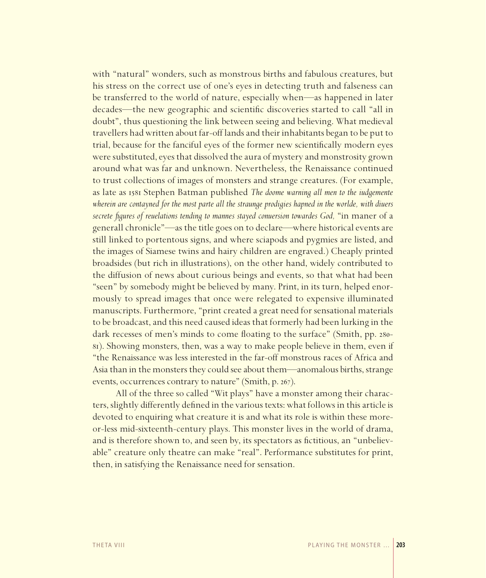with "natural" wonders, such as monstrous births and fabulous creatures, but his stress on the correct use of one's eyes in detecting truth and falseness can be transferred to the world of nature, especially when—as happened in later decades—the new geographic and scientific discoveries started to call "all in doubt", thus questioning the link between seeing and believing. What medieval travellers had written about far-off lands and their inhabitants began to be put to trial, because for the fanciful eyes of the former new scientifically modern eyes were substituted, eyes that dissolved the aura of mystery and monstrosity grown around what was far and unknown. Nevertheless, the Renaissance continued to trust collections of images of monsters and strange creatures. (For example, as late as 1581 Stephen Batman published The doome warning all men to the iudgemente wherein are contayned for the most parte all the straunge prodigies hapned in the worlde, with diuers secrete figures of reuelations tending to mannes stayed conversion towardes God, "in maner of a generall chronicle"—as the title goes on to declare—where historical events are still linked to portentous signs, and where sciapods and pygmies are listed, and the images of Siamese twins and hairy children are engraved.) Cheaply printed broadsides (but rich in illustrations), on the other hand, widely contributed to the diffusion of news about curious beings and events, so that what had been "seen" by somebody might be believed by many. Print, in its turn, helped enormously to spread images that once were relegated to expensive illuminated manuscripts. Furthermore, "print created a great need for sensational materials to be broadcast, and this need caused ideas that formerly had been lurking in the dark recesses of men's minds to come floating to the surface" (Smith, pp. 280-81). Showing monsters, then, was a way to make people believe in them, even if "the Renaissance was less interested in the far-off monstrous races of Africa and Asia than in the monsters they could see about them—anomalous births, strange events, occurrences contrary to nature" (Smith, p. 267).

All of the three so called "Wit plays" have a monster among their characters, slightly differently defined in the various texts: what follows in this article is devoted to enquiring what creature it is and what its role is within these moreor-less mid-sixteenth-century plays. This monster lives in the world of drama, and is therefore shown to, and seen by, its spectators as fictitious, an "unbelievable" creature only theatre can make "real". Performance substitutes for print, then, in satisfying the Renaissance need for sensation.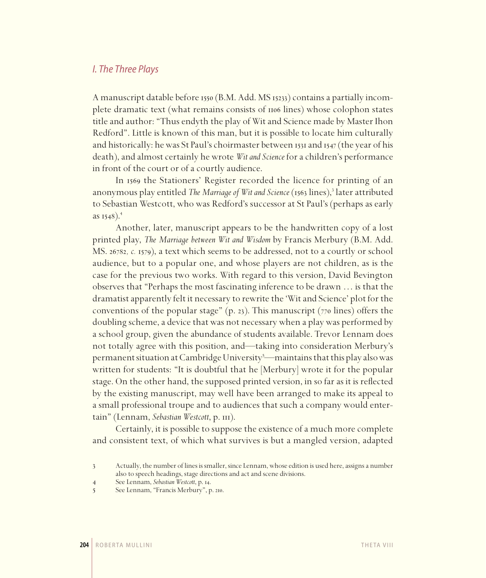#### *I. The Three Plays*

A manuscript datable before 1550 (B.M. Add. MS 15233) contains a partially incomplete dramatic text (what remains consists of 1106 lines) whose colophon states title and author: "Thus endyth the play of Wit and Science made by Master Ihon Redford". Little is known of this man, but it is possible to locate him culturally and historically: he was St Paul's choirmaster between 1531 and 1547 (the year of his death), and almost certainly he wrote *Wit and Science* for a children's performance in front of the court or of a courtly audience.

In 1569 the Stationers' Register recorded the licence for printing of an anonymous play entitled The Marriage of Wit and Science (1563 lines),<sup>3</sup> later attributed to Sebastian Westcott, who was Redford's successor at St Paul's (perhaps as early as  $1548$ ).<sup>4</sup>

Another, later, manuscript appears to be the handwritten copy of a lost printed play, *The Marriage between Wit and Wisdom* by Francis Merbury (B.M. Add. MS. 26782*, c.* 1579), a text which seems to be addressed, not to a courtly or school audience, but to a popular one, and whose players are not children, as is the case for the previous two works. With regard to this version, David Bevington observes that "Perhaps the most fascinating inference to be drawn … is that the dramatist apparently felt it necessary to rewrite the 'Wit and Science' plot for the conventions of the popular stage"  $(p. 23)$ . This manuscript  $(770 \text{ lines})$  offers the doubling scheme, a device that was not necessary when a play was performed by a school group, given the abundance of students available. Trevor Lennam does not totally agree with this position, and—taking into consideration Merbury's permanent situation at Cambridge University<sup>5</sup>—maintains that this play also was written for students: "It is doubtful that he [Merbury] wrote it for the popular stage. On the other hand, the supposed printed version, in so far as it is reflected by the existing manuscript, may well have been arranged to make its appeal to a small professional troupe and to audiences that such a company would entertain" (Lennam, *Sebastian Westcott*, p. 111).

Certainly, it is possible to suppose the existence of a much more complete and consistent text, of which what survives is but a mangled version, adapted

<sup>3</sup> Actually, the number of lines is smaller, since Lennam, whose edition is used here, assigns a number also to speech headings, stage directions and act and scene divisions.

<sup>4</sup> See Lennam, *Sebastian Westcott*, p. 14.

<sup>5</sup> See Lennam, "Francis Merbury", p. 210.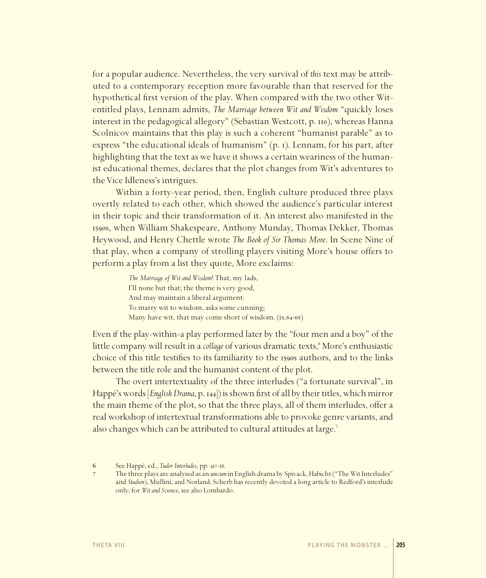for a popular audience. Nevertheless, the very survival of *this* text may be attributed to a contemporary reception more favourable than that reserved for the hypothetical first version of the play. When compared with the two other Witentitled plays, Lennam admits, *The Marriage between Wit and Wisdom* "quickly loses interest in the pedagogical allegory" (Sebastian Westcott, p. 110), whereas Hanna Scolnicov maintains that this play is such a coherent "humanist parable" as to express "the educational ideals of humanism" (p. 1). Lennam, for his part, after highlighting that the text as we have it shows a certain weariness of the humanist educational themes, declares that the plot changes from Wit's adventures to the Vice Idleness's intrigues.

Within a forty-year period, then, English culture produced three plays overtly related to each other, which showed the audience's particular interest in their topic and their transformation of it. An interest also manifested in the 1590s, when William Shakespeare, Anthony Munday, Thomas Dekker, Thomas Heywood, and Henry Chettle wrote *The Book of Sir Thomas More*. In Scene Nine of that play, when a company of strolling players visiting More's house offers to perform a play from a list they quote, More exclaims:

> *The Marriage of Wit and Wisdom*! That, my lads, I'll none but that; the theme is very good, And may maintain a liberal argument: To marry wit to wisdom, asks some cunning; Many have wit, that may come short of wisdom. (ix.64-68)

Even if the play-within-a play performed later by the "four men and a boy" of the little company will result in a *collage* of various dramatic texts,<sup>6</sup> More's enthusiastic choice of this title testifies to its familiarity to the 1590s authors, and to the links between the title role and the humanist content of the plot.

The overt intertextuality of the three interludes ("a fortunate survival", in Happé's words [*English Drama*, p. 144]) is shown first of all by their titles, which mirror the main theme of the plot, so that the three plays, all of them interludes, offer a real workshop of intertextual transformations able to provoke genre variants, and also changes which can be attributed to cultural attitudes at large.<sup>7</sup>

<sup>6</sup> See Happé, ed., *Tudor Interludes*, pp. 417-18.

<sup>7</sup> The three plays are analysed as an *unicum* in English drama by Spivack, Habicht ("The Wit Interludes" and *Studien*), Mullini, and Norland. Scherb has recently devoted a long article to Redford's interlude only; for *Wit and Science*, see also Lombardo.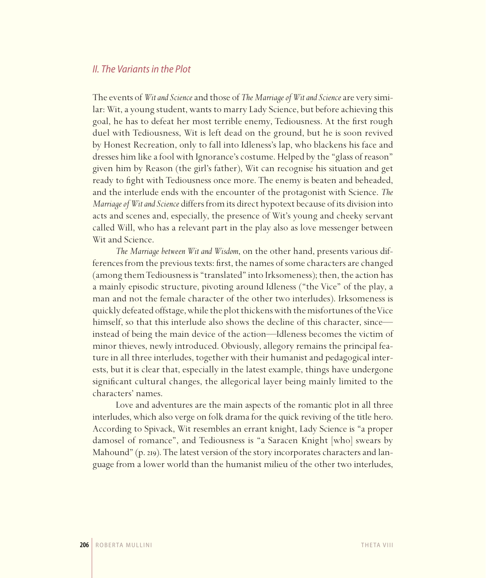#### *II. The Variants in the Plot*

The events of *Wit and Science* and those of *The Marriage of Wit and Science* are very similar: Wit, a young student, wants to marry Lady Science, but before achieving this goal, he has to defeat her most terrible enemy, Tediousness. At the first rough duel with Tediousness, Wit is left dead on the ground, but he is soon revived by Honest Recreation, only to fall into Idleness's lap, who blackens his face and dresses him like a fool with Ignorance's costume. Helped by the "glass of reason" given him by Reason (the girl's father), Wit can recognise his situation and get ready to fight with Tediousness once more. The enemy is beaten and beheaded, and the interlude ends with the encounter of the protagonist with Science. *The Marriage of Wit and Science* differs from its direct hypotext because of its division into acts and scenes and, especially, the presence of Wit's young and cheeky servant called Will, who has a relevant part in the play also as love messenger between Wit and Science.

*The Marriage between Wit and Wisdom*, on the other hand, presents various differences from the previous texts: first, the names of some characters are changed (among them Tediousness is "translated" into Irksomeness); then, the action has a mainly episodic structure, pivoting around Idleness ("the Vice" of the play, a man and not the female character of the other two interludes). Irksomeness is quickly defeated offstage, while the plot thickens with the misfortunes of the Vice himself, so that this interlude also shows the decline of this character, since instead of being the main device of the action—Idleness becomes the victim of minor thieves, newly introduced. Obviously, allegory remains the principal feature in all three interludes, together with their humanist and pedagogical interests, but it is clear that, especially in the latest example, things have undergone significant cultural changes, the allegorical layer being mainly limited to the characters' names.

Love and adventures are the main aspects of the romantic plot in all three interludes, which also verge on folk drama for the quick reviving of the title hero. According to Spivack, Wit resembles an errant knight, Lady Science is "a proper damosel of romance", and Tediousness is "a Saracen Knight [who] swears by Mahound" (p. 219). The latest version of the story incorporates characters and language from a lower world than the humanist milieu of the other two interludes,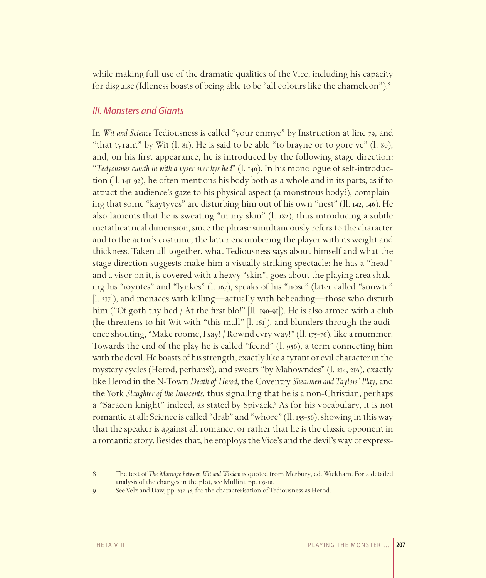while making full use of the dramatic qualities of the Vice, including his capacity for disguise (Idleness boasts of being able to be "all colours like the chameleon").<sup>8</sup>

#### *III. Monsters and Giants*

In *Wit and Science* Tediousness is called "your enmye" by Instruction at line 79, and "that tyrant" by Wit (l. 81). He is said to be able "to brayne or to gore ye" (l. 80), and, on his first appearance, he is introduced by the following stage direction: "*Tedyousnes cumth in with a vyser over hys hed*" (l. 140). In his monologue of self-introduction (ll. 141-92), he often mentions his body both as a whole and in its parts, as if to attract the audience's gaze to his physical aspect (a monstrous body?), complaining that some "kaytyves" are disturbing him out of his own "nest" (ll. 142, 146). He also laments that he is sweating "in my skin" (l. 182), thus introducing a subtle metatheatrical dimension, since the phrase simultaneously refers to the character and to the actor's costume, the latter encumbering the player with its weight and thickness. Taken all together, what Tediousness says about himself and what the stage direction suggests make him a visually striking spectacle: he has a "head" and a visor on it, is covered with a heavy "skin", goes about the playing area shaking his "ioyntes" and "lynkes" (l. 167), speaks of his "nose" (later called "snowte" [l. 217]), and menaces with killing—actually with beheading—those who disturb him ("Of goth thy hed / At the first blo!" [ll. 190-91]). He is also armed with a club (he threatens to hit Wit with "this mall" [l. 161]), and blunders through the audience shouting, "Make roome, I say! / Rownd evry way!" (ll. 175-76), like a mummer. Towards the end of the play he is called "feend" (l. 956), a term connecting him with the devil. He boasts of his strength, exactly like a tyrant or evil character in the mystery cycles (Herod, perhaps?), and swears "by Mahowndes" (l. 214, 216), exactly like Herod in the N-Town *Death of Herod*, the Coventry *Shearmen and Taylors' Play*, and the York *Slaughter of the Innocents*, thus signalling that he is a non-Christian, perhaps a "Saracen knight" indeed, as stated by Spivack.<sup>9</sup> As for his vocabulary, it is not romantic at all: Science is called "drab" and "whore" (ll. 155-56), showing in this way that the speaker is against all romance, or rather that he is the classic opponent in a romantic story. Besides that, he employs the Vice's and the devil's way of express-

9 See Velz and Daw, pp. 637-38, for the characterisation of Tediousness as Herod.

<sup>8</sup> The text of *The Marriage between Wit and Wisdom* is quoted from Merbury, ed. Wickham. For a detailed analysis of the changes in the plot, see Mullini, pp. 103-10.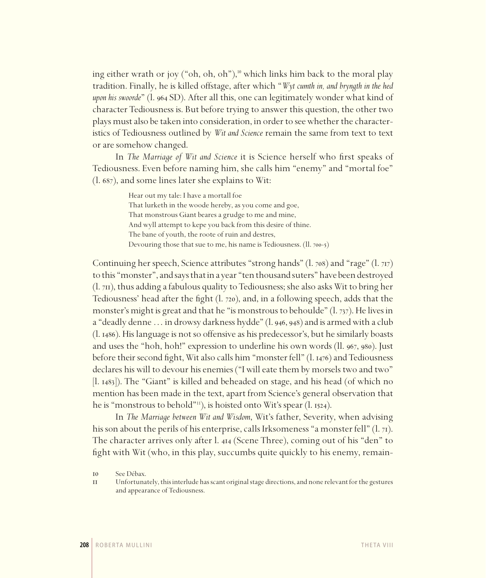ing either wrath or joy ("oh, oh, oh"),<sup>10</sup> which links him back to the moral play tradition. Finally, he is killed offstage, after which "*Wyt cumth in, and bryngth in the hed upon his swoorde*" (l. 964 SD). After all this, one can legitimately wonder what kind of character Tediousness is. But before trying to answer this question, the other two plays must also be taken into consideration, in order to see whether the characteristics of Tediousness outlined by *Wit and Science* remain the same from text to text or are somehow changed.

In *The Marriage of Wit and Science* it is Science herself who first speaks of Tediousness. Even before naming him, she calls him "enemy" and "mortal foe" (l. 687), and some lines later she explains to Wit:

> Hear out my tale: I have a mortall foe That lurketh in the woode hereby, as you come and goe, That monstrous Giant beares a grudge to me and mine, And wyll attempt to kepe you back from this desire of thine. The bane of youth, the roote of ruin and destres, Devouring those that sue to me, his name is Tediousness. (ll. 700-5)

Continuing her speech, Science attributes "strong hands" (l. 708) and "rage" (l. 717) to this "monster", and says that in a year "ten thousand suters" have been destroyed (l. 711), thus adding a fabulous quality to Tediousness; she also asks Wit to bring her Tediousness' head after the fight (l. 720), and, in a following speech, adds that the monster's might is great and that he "is monstrous to behoulde" (l. 737). He lives in a "deadly denne…in drowsy darkness hydde" (l. 946, 948) and is armed with a club (l. 1486). His language is not so offensive as his predecessor's, but he similarly boasts and uses the "hoh, hoh!" expression to underline his own words (ll. 967, 980). Just before their second fight, Wit also calls him "monster fell" (l. 1476) and Tediousness declares his will to devour his enemies ("I will eate them by morsels two and two" [l. 1483]). The "Giant" is killed and beheaded on stage, and his head (of which no mention has been made in the text, apart from Science's general observation that he is "monstrous to behold"11), is hoisted onto Wit's spear (l. 1524).

In *The Marriage between Wit and Wisdom*, Wit's father, Severity, when advising his son about the perils of his enterprise, calls Irksomeness "a monster fell" (l. 71). The character arrives only after l. 414 (Scene Three), coming out of his "den" to fight with Wit (who, in this play, succumbs quite quickly to his enemy, remain-

<sup>10</sup> See Débax.

<sup>11</sup> Unfortunately, this interlude has scant original stage directions, and none relevant for the gestures and appearance of Tediousness.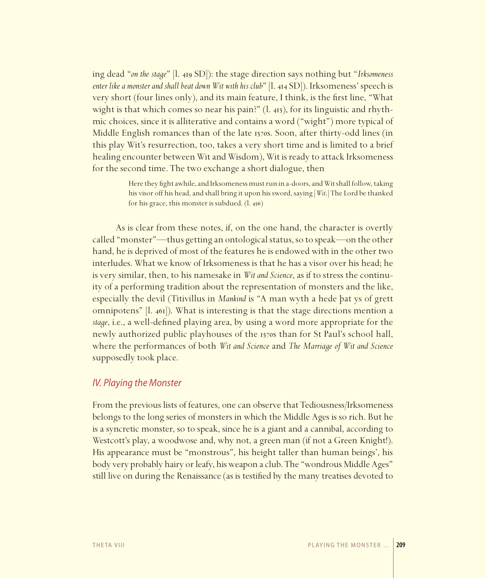ing dead "*on the stage*" [l. 419 SD]): the stage direction says nothing but "*Irksomeness enter like a monster and shall beat down Wit with his club*" [l. 414 SD]). Irksomeness' speech is very short (four lines only), and its main feature, I think, is the first line, "What wight is that which comes so near his pain?" (l. 415), for its linguistic and rhythmic choices, since it is alliterative and contains a word ("wight") more typical of Middle English romances than of the late 1570s. Soon, after thirty-odd lines (in this play Wit's resurrection, too, takes a very short time and is limited to a brief healing encounter between Wit and Wisdom), Wit is ready to attack Irksomeness for the second time. The two exchange a short dialogue, then

> Here they fight awhile, and Irksomeness must run in a-doors, and Wit shall follow, taking his visor off his head, and shall bring it upon his sword, saying [*Wit*.] The Lord be thanked for his grace, this monster is subdued. (l. 456)

As is clear from these notes, if, on the one hand, the character is overtly called "monster"—thus getting an ontological status, so to speak—on the other hand, he is deprived of most of the features he is endowed with in the other two interludes. What we know of Irksomeness is that he has a visor over his head; he is very similar, then, to his namesake in *Wit and Science*, as if to stress the continuity of a performing tradition about the representation of monsters and the like, especially the devil (Titivillus in *Mankind* is "A man wyth a hede þat ys of grett omnipotens" [l. 461]). What is interesting is that the stage directions mention a *stage*, i.e., a well-defined playing area, by using a word more appropriate for the newly authorized public playhouses of the 1570s than for St Paul's school hall, where the performances of both *Wit and Science* and *The Marriage of Wit and Science*  supposedly took place.

#### *IV. Playing the Monster*

From the previous lists of features, one can observe that Tediousness/Irksomeness belongs to the long series of monsters in which the Middle Ages is so rich. But he is a syncretic monster, so to speak, since he is a giant and a cannibal, according to Westcott's play, a woodwose and, why not, a green man (if not a Green Knight!). His appearance must be "monstrous", his height taller than human beings', his body very probably hairy or leafy, his weapon a club. The "wondrous Middle Ages" still live on during the Renaissance (as is testified by the many treatises devoted to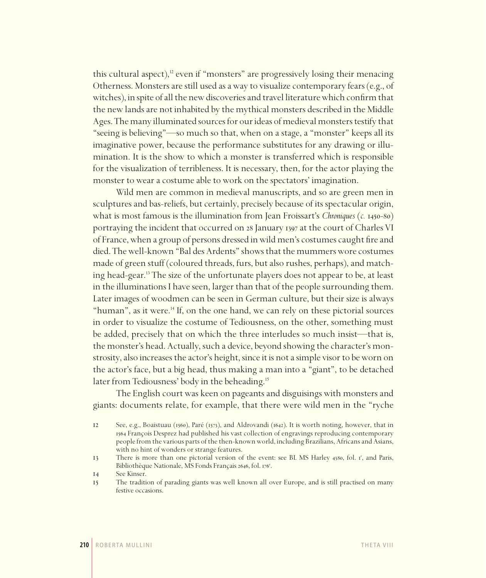this cultural aspect),<sup>12</sup> even if "monsters" are progressively losing their menacing Otherness. Monsters are still used as a way to visualize contemporary fears (e.g., of witches), in spite of all the new discoveries and travel literature which confirm that the new lands are not inhabited by the mythical monsters described in the Middle Ages. The many illuminated sources for our ideas of medieval monsters testify that "seeing is believing"—so much so that, when on a stage, a "monster" keeps all its imaginative power, because the performance substitutes for any drawing or illumination. It is the show to which a monster is transferred which is responsible for the visualization of terribleness. It is necessary, then, for the actor playing the monster to wear a costume able to work on the spectators' imagination.

Wild men are common in medieval manuscripts, and so are green men in sculptures and bas-reliefs, but certainly, precisely because of its spectacular origin, what is most famous is the illumination from Jean Froissart's *Chroniques* (*c.* 1450-80) portraying the incident that occurred on 28 January 1397 at the court of Charles VI of France, when a group of persons dressed in wild men's costumes caught fire and died. The well-known "Bal des Ardents" shows that the mummers wore costumes made of green stuff (coloured threads, furs, but also rushes, perhaps), and matching head-gear.13 The size of the unfortunate players does not appear to be, at least in the illuminations I have seen, larger than that of the people surrounding them. Later images of woodmen can be seen in German culture, but their size is always "human", as it were.<sup>14</sup> If, on the one hand, we can rely on these pictorial sources in order to visualize the costume of Tediousness, on the other, something must be added, precisely that on which the three interludes so much insist—that is, the monster's head. Actually, such a device, beyond showing the character's monstrosity, also increases the actor's height, since it is not a simple visor to be worn on the actor's face, but a big head, thus making a man into a "giant", to be detached later from Tediousness' body in the beheading.15

The English court was keen on pageants and disguisings with monsters and giants: documents relate, for example, that there were wild men in the "ryche

<sup>12</sup> See, e.g., Boaistuau (1560), Paré (1573), and Aldrovandi (1642). It is worth noting, however, that in 1564 François Desprez had published his vast collection of engravings reproducing contemporary people from the various parts of the then-known world, including Brazilians, Africans and Asians, with no hint of wonders or strange features.

<sup>13</sup> There is more than one pictorial version of the event: see BL MS Harley 4380, fol. 1', and Paris, Bibliothèque Nationale, MS Fonds Français 2646, fol. 176<sup>r</sup>.

<sup>14</sup> See Kinser.

<sup>15</sup> The tradition of parading giants was well known all over Europe, and is still practised on many festive occasions.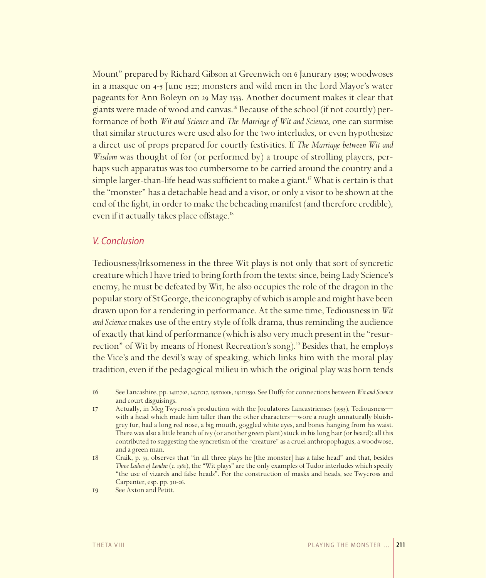Mount" prepared by Richard Gibson at Greenwich on 6 Janurary 1509; woodwoses in a masque on 4-5 June 1522; monsters and wild men in the Lord Mayor's water pageants for Ann Boleyn on 29 May 1533. Another document makes it clear that giants were made of wood and canvas.16 Because of the school (if not courtly) performance of both *Wit and Science* and *The Marriage of Wit and Science*, one can surmise that similar structures were used also for the two interludes, or even hypothesize a direct use of props prepared for courtly festivities. If *The Marriage between Wit and Wisdom* was thought of for (or performed by) a troupe of strolling players, perhaps such apparatus was too cumbersome to be carried around the country and a simple larger-than-life head was sufficient to make a giant.<sup>17</sup> What is certain is that the "monster" has a detachable head and a visor, or only a visor to be shown at the end of the fight, in order to make the beheading manifest (and therefore credible), even if it actually takes place offstage.<sup>18</sup>

#### *V. Conclusion*

Tediousness/Irksomeness in the three Wit plays is not only that sort of syncretic creature which I have tried to bring forth from the texts: since, being Lady Science's enemy, he must be defeated by Wit, he also occupies the role of the dragon in the popular story of St George, the iconography of which is ample and might have been drawn upon for a rendering in performance. At the same time, Tediousness in *Wit and Science* makes use of the entry style of folk drama, thus reminding the audience of exactly that kind of performance (which is also very much present in the "resurrection" of Wit by means of Honest Recreation's song).<sup>19</sup> Besides that, he employs the Vice's and the devil's way of speaking, which links him with the moral play tradition, even if the pedagogical milieu in which the original play was born tends

- 16 See Lancashire, pp. 141n702, 143n717, 198n1016, 292n1550. See Duffy for connections between *Wit and Science* and court disguisings.
- 17 Actually, in Meg Twycross's production with the Joculatores Lancastrienses (1993), Tediousness with a head which made him taller than the other characters—wore a rough unnaturally bluishgrey fur, had a long red nose, a big mouth, goggled white eyes, and bones hanging from his waist. There was also a little branch of ivy (or another green plant) stuck in his long hair (or beard): all this contributed to suggesting the syncretism of the "creature" as a cruel anthropophagus, a woodwose, and a green man.
- 18 Craik, p. 53, observes that "in all three plays he [the monster] has a false head" and that, besides *Three Ladies of London* (*c.* 1581), the "Wit plays" are the only examples of Tudor interludes which specify "the use of vizards and false heads". For the construction of masks and heads, see Twycross and Carpenter, esp. pp. 311-26.
- 19 See Axton and Petitt.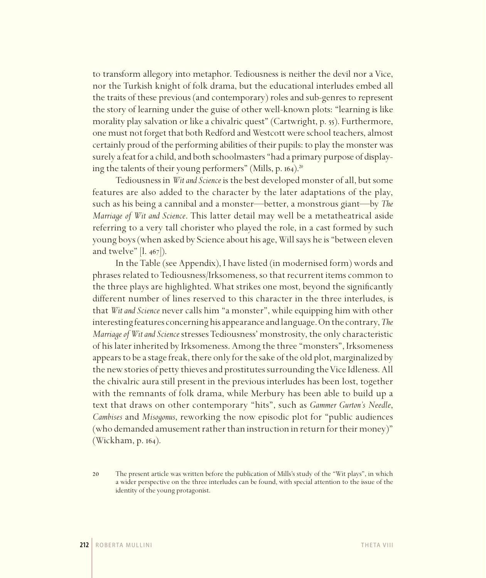to transform allegory into metaphor. Tediousness is neither the devil nor a Vice, nor the Turkish knight of folk drama, but the educational interludes embed all the traits of these previous (and contemporary) roles and sub-genres to represent the story of learning under the guise of other well-known plots: "learning is like morality play salvation or like a chivalric quest" (Cartwright, p. 55). Furthermore, one must not forget that both Redford and Westcott were school teachers, almost certainly proud of the performing abilities of their pupils: to play the monster was surely a feat for a child, and both schoolmasters "had a primary purpose of displaying the talents of their young performers" (Mills, p. 164).<sup>20</sup>

Tediousness in *Wit and Science* is the best developed monster of all, but some features are also added to the character by the later adaptations of the play, such as his being a cannibal and a monster—better, a monstrous giant—by *The Marriage of Wit and Science*. This latter detail may well be a metatheatrical aside referring to a very tall chorister who played the role, in a cast formed by such young boys (when asked by Science about his age, Will says he is "between eleven and twelve"  $|l. 467|$ ).

In the Table (see Appendix), I have listed (in modernised form) words and phrases related to Tediousness/Irksomeness, so that recurrent items common to the three plays are highlighted. What strikes one most, beyond the significantly different number of lines reserved to this character in the three interludes, is that *Wit and Science* never calls him "a monster", while equipping him with other interesting features concerning his appearance and language. On the contrary, *The Marriage of Wit and Science* stresses Tediousness' monstrosity, the only characteristic of his later inherited by Irksomeness. Among the three "monsters", Irksomeness appears to be a stage freak, there only for the sake of the old plot, marginalized by the new stories of petty thieves and prostitutes surrounding the Vice Idleness. All the chivalric aura still present in the previous interludes has been lost, together with the remnants of folk drama, while Merbury has been able to build up a text that draws on other contemporary "hits", such as *Gammer Gurton's Needle*, *Cambises* and *Misogonus*, reworking the now episodic plot for "public audiences (who demanded amusement rather than instruction in return for their money)" (Wickham, p. 164).

<sup>20</sup> The present article was written before the publication of Mills's study of the "Wit plays", in which a wider perspective on the three interludes can be found, with special attention to the issue of the identity of the young protagonist.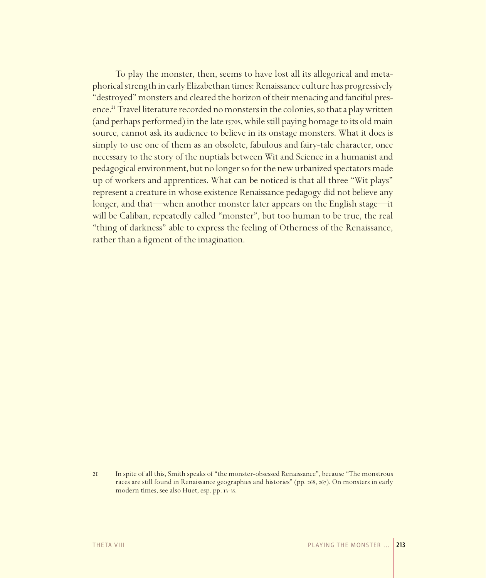To play the monster, then, seems to have lost all its allegorical and metaphorical strength in early Elizabethan times: Renaissance culture has progressively "destroyed" monsters and cleared the horizon of their menacing and fanciful presence.<sup>21</sup> Travel literature recorded no monsters in the colonies, so that a play written (and perhaps performed) in the late 1570s, while still paying homage to its old main source, cannot ask its audience to believe in its onstage monsters. What it does is simply to use one of them as an obsolete, fabulous and fairy-tale character, once necessary to the story of the nuptials between Wit and Science in a humanist and pedagogical environment, but no longer so for the new urbanized spectators made up of workers and apprentices. What can be noticed is that all three "Wit plays" represent a creature in whose existence Renaissance pedagogy did not believe any longer, and that—when another monster later appears on the English stage—it will be Caliban, repeatedly called "monster", but too human to be true, the real "thing of darkness" able to express the feeling of Otherness of the Renaissance, rather than a figment of the imagination.

<sup>21</sup> In spite of all this, Smith speaks of "the monster-obsessed Renaissance", because "The monstrous races are still found in Renaissance geographies and histories" (pp. 268, 267). On monsters in early modern times, see also Huet, esp. pp. 13-35.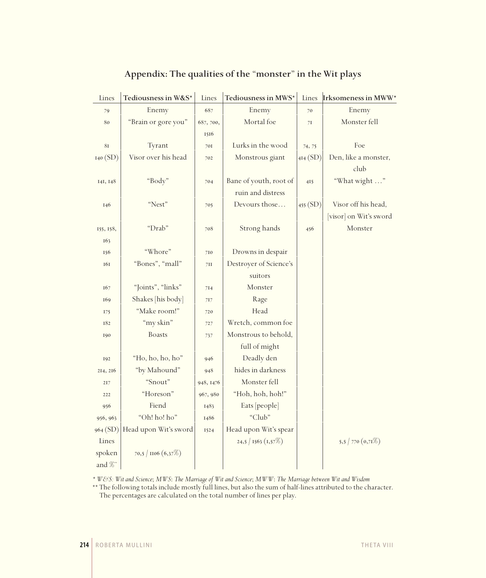| Lines               | Tediousness in W&S*   | Lines     | Tediousness in MWS*    | Lines    | Irksomeness in MWW*    |
|---------------------|-----------------------|-----------|------------------------|----------|------------------------|
| 79                  | Enemy                 | 687       | Enemy                  | 70       | Enemy                  |
| 80                  | "Brain or gore you"   | 687, 700, | Mortal foe             | 71       | Monster fell           |
|                     |                       | 1516      |                        |          |                        |
| $8\mathrm{I}$       | Tyrant                | 701       | Lurks in the wood      | 74, 75   | Foe                    |
| I40(SD)             | Visor over his head   | 702       | Monstrous giant        | 4I4(SD)  | Den, like a monster,   |
|                     |                       |           |                        |          | club                   |
| 141, 148            | "Body"                | 704       | Bane of youth, root of | 415      | "What wight "          |
|                     |                       |           | ruin and distress      |          |                        |
| 146                 | "Nest"                | 705       | Devours those          | 455 (SD) | Visor off his head,    |
|                     |                       |           |                        |          | [visor] on Wit's sword |
| 155, 158,           | "Drab"                | 708       | Strong hands           | 456      | Monster                |
| 163                 |                       |           |                        |          |                        |
| 156                 | "Whore"               | 710       | Drowns in despair      |          |                        |
| 161                 | "Bones", "mall"       | 7II       | Destroyer of Science's |          |                        |
|                     |                       |           | suitors                |          |                        |
| 167                 | "Joints", "links"     | 714       | Monster                |          |                        |
| 169                 | Shakes [his body]     | 717       | Rage                   |          |                        |
| 175                 | "Make room!"          | 720       | Head                   |          |                        |
| 182                 | "my skin"             | 727       | Wretch, common foe     |          |                        |
| 190                 | <b>Boasts</b>         | 737       | Monstrous to behold,   |          |                        |
|                     |                       |           | full of might          |          |                        |
| 192                 | "Ho, ho, ho, ho"      | 946       | Deadly den             |          |                        |
| 214, 216            | "by Mahound"          | 948       | hides in darkness      |          |                        |
| 217                 | "Snout"               | 948, 1476 | Monster fell           |          |                        |
| 222                 | "Horeson"             | 967, 980  | "Hoh, hoh, hoh!"       |          |                        |
| 956                 | Fiend                 | 1483      | Eats [people]          |          |                        |
| 956, 963            | "Oh! ho! ho"          | 1486      | "Club"                 |          |                        |
| 964 (SD)            | Head upon Wit's sword | 1524      | Head upon Wit's spear  |          |                        |
| Lines               |                       |           | 24,5/1563 (1,57%)      |          | 5,5   770 $(0,71\%)$   |
| spoken              | 70,5   $1106(6,37%)$  |           |                        |          |                        |
| and $\mathscr{C}^*$ |                       |           |                        |          |                        |

## **Appendix: The qualities of the** "**monster**" **in the Wit plays**

*\* W&S: Wit and Science*; *MWS*: *The Marriage of Wit and Science*; *MWW*: *The Marriage between Wit and Wisdom*

\*\* The following totals include mostly full lines, but also the sum of half-lines attributed to the character. The percentages are calculated on the total number of lines per play.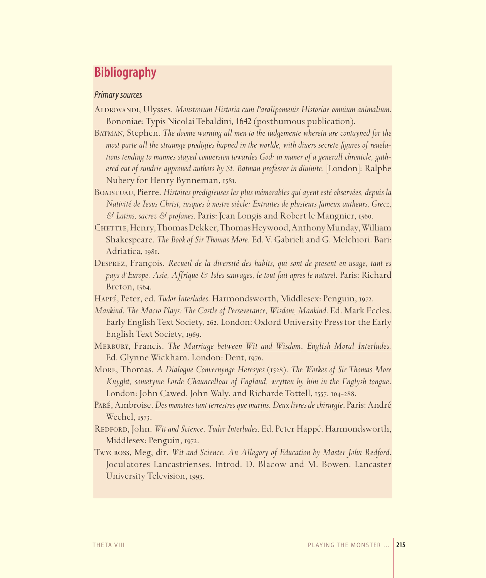# **Bibliography**

#### *Primary sources*

- Aldrovandi, Ulysses. *Monstrorum Historia cum Paralipomenis Historiae omnium animalium*. Bononiae: Typis Nicolai Tebaldini, 1642 (posthumous publication).
- Batman, Stephen. *The doome warning all men to the iudgemente wherein are contayned for the most parte all the straunge prodigies hapned in the worlde, with diuers secrete figures of reuela– tions tending to mannes stayed conuersion towardes God: in maner of a generall chronicle, gathered out of sundrie approued authors by St. Batman professor in diuinite.* [London]: Ralphe Nubery for Henry Bynneman, 1581.
- Boaistuau, Pierre. *Histoires prodigieuses les plus mémorables qui ayent esté observées, depuis la Nativité de Iesus Christ, iusques à nostre siècle: Extraites de plusieurs fameux autheurs, Grecz, & Latins, sacrez & profanes*. Paris: Jean Longis and Robert le Mangnier, 1560. of sundrie approued authors by St. Batman professor in diuinite.<br>
for Henry Bynneman, 1581.<br>
Dierre. Histoires prodigieuses les plus mémorables qui ayent est<br>
de Iesus Christ, iusques à nostre siècle: Extraites de plusieur
- CHETTLE, Henry, Thomas Dekker, Thomas Heywood, Anthony Munday, William Shakespeare. *The Book of Sir Thomas More*. Ed. V. Gabrieli and G. Melchiori. Bari: Adriatica, 1981.
- Desprez, François. *Recueil de la diversité des habits, qui sont de present en usage, tant es pays d'Europe, Asie, Affrique & Isles sauvages, le tout fait apres le naturel*. Paris: Richard Breton, 1564.
- Happé, Peter, ed. *Tudor Interludes*. Harmondsworth, Middlesex: Penguin, 1972.
- *Mankind*. *The Macro Plays: The Castle of Perseverance, Wisdom, Mankind*. Ed. Mark Eccles. Early English Text Society, 262. London: Oxford University Press for the Early English Text Society, 1969.
- Merbury, Francis. *The Marriage between Wit and Wisdom*. *English Moral Interludes.*  Ed. Glynne Wickham. London: Dent, 1976.
- More, Thomas. *A Dialogue Convernynge Heresyes* (1528). *The Workes of Sir Thomas More Knyght, sometyme Lorde Chauncellour of England, wrytten by him in the Englysh tongue*. London: John Cawed, John Waly, and Richarde Tottell, 1557. 104-288.
- PARÉ, Ambroise. *Des monstres tant terrestres que marins. Deux livres de chirurgie. Paris: André* Wechel, 1573.
- REDFORD, John. Wit and Science. Tudor Interludes. Ed. Peter Happé. Harmondsworth, Middlesex: Penguin, 1972. 1972.
- Twycross, Meg, dir. Wit and Science. An Allegory of Education by Master John Redford. Joculatores Lancastrienses. Introd. D. Blacow and M. Bowen. Lancaster Joculatores University Television, 1993.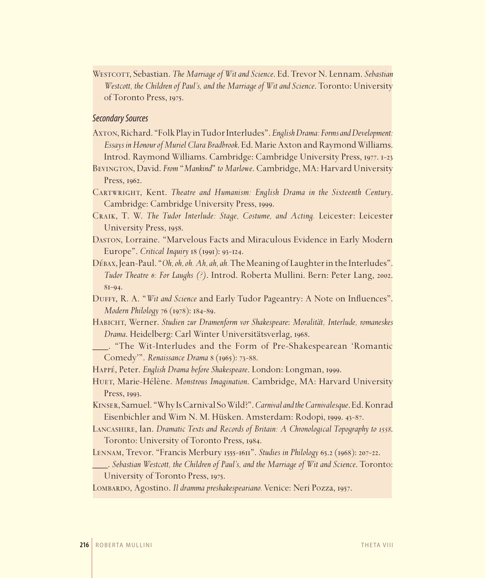Westcott, Sebastian. *The Marriage of Wit and Science*. Ed. Trevor N. Lennam. *Sebastian Westcott, the Children of Paul's, and the Marriage of Wit and Science*. Toronto: University of Toronto Press, 1975.

#### *Secondary Sources*

- Axton, Richard. "Folk Play in Tudor Interludes". *English Drama: Forms and Development: Essays in Honour of Muriel Clara Bradbrook*. Ed. Marie Axton and Raymond Williams. Introd. Raymond Williams. Cambridge: Cambridge University Press, 1977. 1-23
- Bevington, David. *From* "*Mankind*" *to Marlowe*. Cambridge, MA: Harvard University Press, 1962.
- CARTWRIGHT, Kent. *Theatre and Humanism: English Drama in the Sixteenth Century*. Cambridge: Cambridge University Press, 1999.
- Craik, T. W. *The Tudor Interlude: Stage, Costume, and Acting.* Leicester: Leicester University Press, 1958.
- Daston, Lorraine. "Marvelous Facts and Miraculous Evidence in Early Modern Europe". *Critical Inquiry* 18 (1991): 93-124.
- Débax, Jean-Paul. "*Oh, oh, oh. Ah, ah, ah.* The Meaning of Laughter in the Interludes". *Tudor Theatre 6: For Laughs (?)*. Introd. Roberta Mullini. Bern: Peter Lang, 2002. 81-94.
- DUFFY, R. A. "Wit and Science and Early Tudor Pageantry: A Note on Influences". *Modern Philology* 76 (1978): 184-89.
- Habicht, Werner. *Studien zur Dramenform vor Shakespeare*: *Moralität, Interlude, romaneskes Drama*. Heidelberg: Carl Winter Universitätsverlag, 1968.
- \_\_\_. "The Wit-Interludes and the Form of Pre-Shakespearean 'Romantic Comedy'". *Renaissance Drama* 8 (1965): 73-88.
- Happé, Peter. *English Drama before Shakespeare*. London: Longman, 1999.
- HUET, Marie-Hélène. *Monstrous Imagination*. Cambridge, MA: Harvard University Press, 1993.
- Kinser, Samuel. "Why Is Carnival So Wild?". *Carnival and the Carnivalesque*. Ed. Konrad Eisenbichler and Wim N. M. Hüsken. Amsterdam: Rodopi, 1999. 43-87.
- Lancashire, Ian. *Dramatic Texts and Records of Britain: A Chronological Topography to 1558*. Toronto: University of Toronto Press, 1984.
- Lennam, Trevor. "Francis Merbury 1555-1611". *Studies in Philology* 65.2 (1968): 207-22.
- \_\_\_. *Sebastian Westcott, the Children of Paul's, and the Marriage of Wit and Science*. Toronto: University of Toronto Press, 1975.

Lombardo, Agostino. *Il dramma preshakespeariano.* Venice: Neri Pozza, 1957.